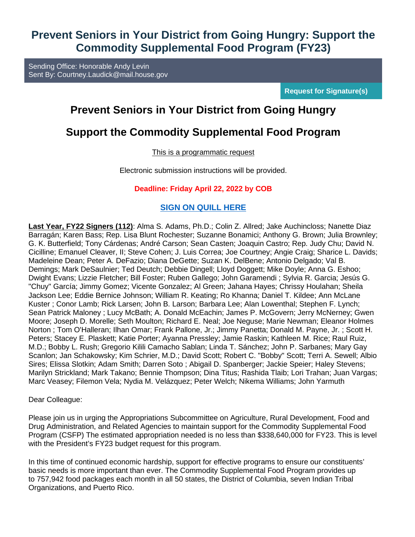## **Prevent Seniors in Your District from Going Hungry: Support the Commodity Supplemental Food Program (FY23)**

Sending Office: Honorable Andy Levin Sent By: [Courtney.Laudick@mail.house.gov](mailto:%20Courtney.Laudick@mail.house.gov)

**Request for Signature(s)**

# **Prevent Seniors in Your District from Going Hungry**

## **Support the Commodity Supplemental Food Program**

#### This is a programmatic request

Electronic submission instructions will be provided.

#### **Deadline: Friday April 22, 2022 by COB**

#### **[SIGN ON QUILL HERE](https://nam11.safelinks.protection.outlook.com/?url=https%3A%2F%2Fquill.senate.gov%2Fletters%2Fletter%2F3002%2Fopt-in%2Fview%2F26ee0e60-84e9-478a-bdec-8d59bae84e84%2F&data=04%7C01%7CKUBIKF%40focushope.edu%7Cba6e69b06e5b417b4cd208da1c96fac7%7C366dfbf72f604d32a9375da30e1a8bfd%7C0%7C0%7C637853732073683327%7CUnknown%7CTWFpbGZsb3d8eyJWIjoiMC4wLjAwMDAiLCJQIjoiV2luMzIiLCJBTiI6Ik1haWwiLCJXVCI6Mn0%3D%7C3000&sdata=NEiVV87JgnKNnJZEqpM%2Bp3CnBi%2F%2BWEKDK7KXEqdDtzE%3D&reserved=0)**

**Last Year, FY22 Signers (112)**: Alma S. Adams, Ph.D.; Colin Z. Allred; Jake Auchincloss; Nanette Diaz Barragán; Karen Bass; Rep. Lisa Blunt Rochester; Suzanne Bonamici; Anthony G. Brown; Julia Brownley; G. K. Butterfield; Tony Cárdenas; André Carson; Sean Casten; Joaquin Castro; Rep. Judy Chu; David N. Cicilline; Emanuel Cleaver, II; Steve Cohen; J. Luis Correa; Joe Courtney; Angie Craig; Sharice L. Davids; Madeleine Dean; Peter A. DeFazio; Diana DeGette; Suzan K. DelBene; Antonio Delgado; Val B. Demings; Mark DeSaulnier; Ted Deutch; Debbie Dingell; Lloyd Doggett; Mike Doyle; Anna G. Eshoo; Dwight Evans; Lizzie Fletcher; Bill Foster; Ruben Gallego; John Garamendi ; Sylvia R. Garcia; Jesús G. "Chuy" García; Jimmy Gomez; Vicente Gonzalez; Al Green; Jahana Hayes; Chrissy Houlahan; Sheila Jackson Lee; Eddie Bernice Johnson; William R. Keating; Ro Khanna; Daniel T. Kildee; Ann McLane Kuster ; Conor Lamb; Rick Larsen; John B. Larson; Barbara Lee; Alan Lowenthal; Stephen F. Lynch; Sean Patrick Maloney ; Lucy McBath; A. Donald McEachin; James P. McGovern; Jerry McNerney; Gwen Moore; Joseph D. Morelle; Seth Moulton; Richard E. Neal; Joe Neguse; Marie Newman; Eleanor Holmes Norton ; Tom O'Halleran; Ilhan Omar; Frank Pallone, Jr.; Jimmy Panetta; Donald M. Payne, Jr. ; Scott H. Peters; Stacey E. Plaskett; Katie Porter; Ayanna Pressley; Jamie Raskin; Kathleen M. Rice; Raul Ruiz, M.D.; Bobby L. Rush; Gregorio Kilili Camacho Sablan; Linda T. Sánchez; John P. Sarbanes; Mary Gay Scanlon; Jan Schakowsky; Kim Schrier, M.D.; David Scott; Robert C. "Bobby" Scott; Terri A. Sewell; Albio Sires; Elissa Slotkin; Adam Smith; Darren Soto ; Abigail D. Spanberger; Jackie Speier; Haley Stevens; Marilyn Strickland; Mark Takano; Bennie Thompson; Dina Titus; Rashida Tlaib; Lori Trahan; Juan Vargas; Marc Veasey; Filemon Vela; Nydia M. Velázquez; Peter Welch; Nikema Williams; John Yarmuth

#### Dear Colleague:

Please join us in urging the Appropriations Subcommittee on Agriculture, Rural Development, Food and Drug Administration, and Related Agencies to maintain support for the Commodity Supplemental Food Program (CSFP) The estimated appropriation needed is no less than \$338,640,000 for FY23. This is level with the President's FY23 budget request for this program.

In this time of continued economic hardship, support for effective programs to ensure our constituents' basic needs is more important than ever. The Commodity Supplemental Food Program provides up to 757,942 food packages each month in all 50 states, the District of Columbia, seven Indian Tribal Organizations, and Puerto Rico.